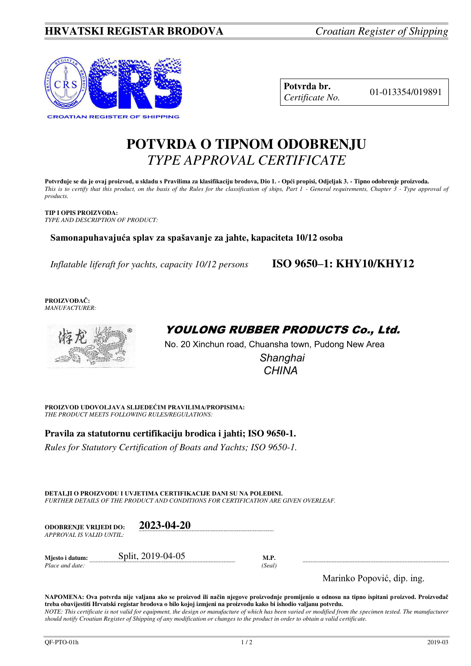

| Potvrda br.     |  |
|-----------------|--|
| Certificate No. |  |

01-013354/019891

# **POTVRDA O TIPNOM ODOBRENJU**  *TYPE APPROVAL CERTIFICATE*

**Potvrđuje se da je ovaj proizvod, u skladu s Pravilima za klasifikaciju brodova, Dio 1. - Opći propisi, Odjeljak 3. - Tipno odobrenje proizvoda.**  *This is to certify that this product, on the basis of the Rules for the classification of ships, Part 1 - General requirements, Chapter 3 - Type approval of products.* 

**TIP I OPIS PROIZVODA:** *TYPE AND DESCRIPTION OF PRODUCT:* 

**Samonapuhavajuća splav za spašavanje za jahte, kapaciteta 10/12 osoba** 

*Inflatable liferaft for yachts, capacity 10/12 persons* **ISO 9650–1: KHY10/KHY12**

**PROIZVOĐAČ:** *MANUFACTURER:*



## YOULONG RUBBER PRODUCTS Co., Ltd.

No. 20 Xinchun road, Chuansha town, Pudong New Area

 *Shanghai CHINA* 

**PROIZVOD UDOVOLJAVA SLIJEDEĆIM PRAVILIMA/PROPISIMA:** *THE PRODUCT MEETS FOLLOWING RULES/REGULATIONS:* 

**Pravila za statutornu certifikaciju brodica i jahti; ISO 9650-1.** 

*Rules for Statutory Certification of Boats and Yachts; ISO 9650-1.* 

**DETALJI O PROIZVODU I UVJETIMA CERTIFIKACIJE DANI SU NA POLEĐINI.** *FURTHER DETAILS OF THE PRODUCT AND CONDITIONS FOR CERTIFICATION ARE GIVEN OVERLEAF.* 

**ODOBRENJE VRIJEDI DO: 2023-04-20**  *APPROVAL IS VALID UNTIL:*

*Place and date:* 

**Mjesto i datum:**  $Split, 2019-04-05$  **M.P.**<br>*Place and date:* (*Seal*)

Marinko Popović, dip. ing.

**NAPOMENA: Ova potvrda nije valjana ako se proizvod ili način njegove proizvodnje promijenio u odnosu na tipno ispitani proizvod. Proizvođač treba obavijestiti Hrvatski registar brodova o bilo kojoj izmjeni na proizvodu kako bi ishodio valjanu potvrdu.**  *NOTE: This certificate is not valid for equipment, the design or manufacture of which has been varied or modified from the specimen tested. The manufacturer should notify Croatian Register of Shipping of any modification or changes to the product in order to obtain a valid certificate.*